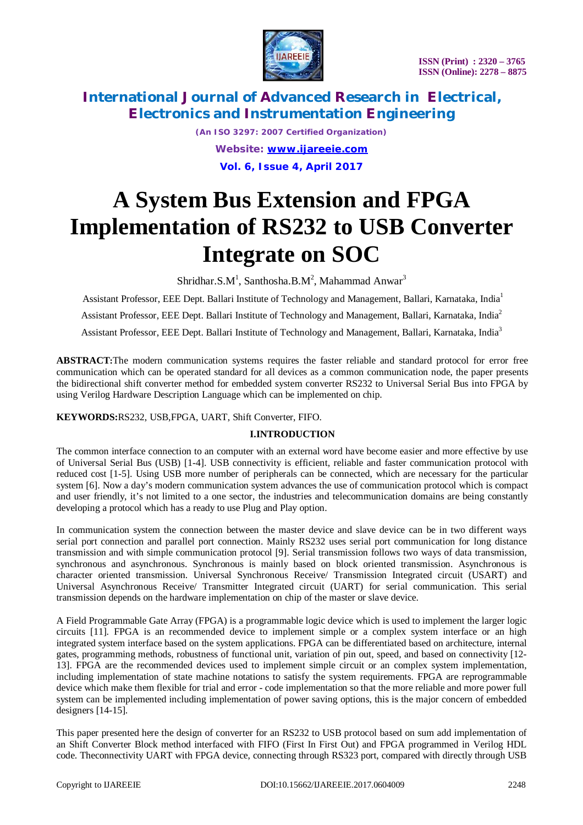

*(An ISO 3297: 2007 Certified Organization) Website: [www.ijareeie.com](http://www.ijareeie.com)* **Vol. 6, Issue 4, April 2017**

# **A System Bus Extension and FPGA Implementation of RS232 to USB Converter Integrate on SOC**

Shridhar.S.M $^1$ , Santhosha.B.M $^2$ , Mahammad Anwar $^3$ 

Assistant Professor, EEE Dept. Ballari Institute of Technology and Management, Ballari, Karnataka, India<sup>1</sup>

Assistant Professor, EEE Dept. Ballari Institute of Technology and Management, Ballari, Karnataka, India<sup>2</sup>

Assistant Professor, EEE Dept. Ballari Institute of Technology and Management, Ballari, Karnataka, India<sup>3</sup>

**ABSTRACT:**The modern communication systems requires the faster reliable and standard protocol for error free communication which can be operated standard for all devices as a common communication node, the paper presents the bidirectional shift converter method for embedded system converter RS232 to Universal Serial Bus into FPGA by using Verilog Hardware Description Language which can be implemented on chip.

#### **KEYWORDS:**RS232, USB,FPGA, UART, Shift Converter, FIFO.

#### **I.INTRODUCTION**

The common interface connection to an computer with an external word have become easier and more effective by use of Universal Serial Bus (USB) [1-4]. USB connectivity is efficient, reliable and faster communication protocol with reduced cost [1-5]. Using USB more number of peripherals can be connected, which are necessary for the particular system [6]. Now a day's modern communication system advances the use of communication protocol which is compact and user friendly, it's not limited to a one sector, the industries and telecommunication domains are being constantly developing a protocol which has a ready to use Plug and Play option.

In communication system the connection between the master device and slave device can be in two different ways serial port connection and parallel port connection. Mainly RS232 uses serial port communication for long distance transmission and with simple communication protocol [9]. Serial transmission follows two ways of data transmission, synchronous and asynchronous. Synchronous is mainly based on block oriented transmission. Asynchronous is character oriented transmission. Universal Synchronous Receive/ Transmission Integrated circuit (USART) and Universal Asynchronous Receive/ Transmitter Integrated circuit (UART) for serial communication. This serial transmission depends on the hardware implementation on chip of the master or slave device.

A Field Programmable Gate Array (FPGA) is a programmable logic device which is used to implement the larger logic circuits [11]. FPGA is an recommended device to implement simple or a complex system interface or an high integrated system interface based on the system applications. FPGA can be differentiated based on architecture, internal gates, programming methods, robustness of functional unit, variation of pin out, speed, and based on connectivity [12- 13]. FPGA are the recommended devices used to implement simple circuit or an complex system implementation, including implementation of state machine notations to satisfy the system requirements. FPGA are reprogrammable device which make them flexible for trial and error - code implementation so that the more reliable and more power full system can be implemented including implementation of power saving options, this is the major concern of embedded designers [14-15].

This paper presented here the design of converter for an RS232 to USB protocol based on sum add implementation of an Shift Converter Block method interfaced with FIFO (First In First Out) and FPGA programmed in Verilog HDL code. Theconnectivity UART with FPGA device, connecting through RS323 port, compared with directly through USB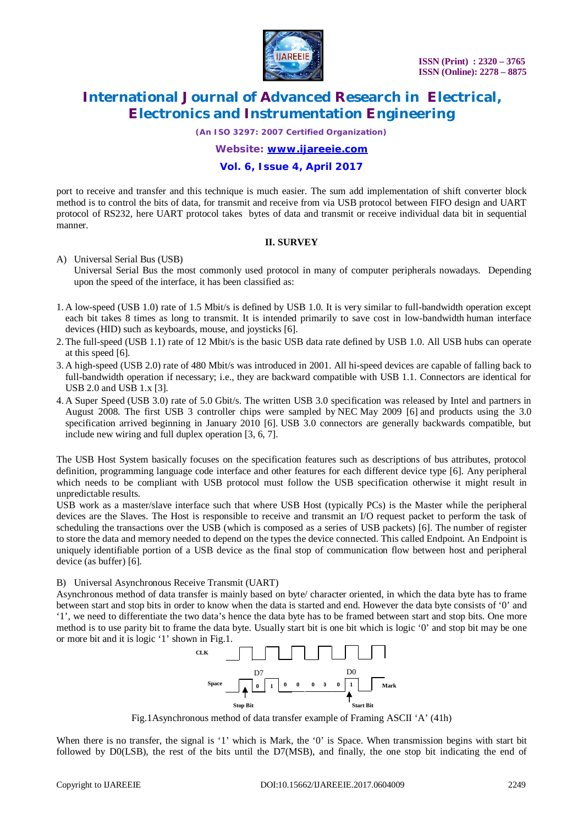

*(An ISO 3297: 2007 Certified Organization)*

*Website: [www.ijareeie.com](http://www.ijareeie.com)*

#### **Vol. 6, Issue 4, April 2017**

port to receive and transfer and this technique is much easier. The sum add implementation of shift converter block method is to control the bits of data, for transmit and receive from via USB protocol between FIFO design and UART protocol of RS232, here UART protocol takes bytes of data and transmit or receive individual data bit in sequential manner.

#### **II. SURVEY**

#### A) Universal Serial Bus (USB)

Universal Serial Bus the most commonly used protocol in many of computer peripherals nowadays. Depending upon the speed of the interface, it has been classified as:

- 1. A low-speed (USB 1.0) rate of 1.5 Mbit/s is defined by USB 1.0. It is very similar to full-bandwidth operation except each bit takes 8 times as long to transmit. It is intended primarily to save cost in low-bandwidth human interface devices (HID) such as keyboards, mouse, and joysticks [6].
- 2. The full-speed (USB 1.1) rate of 12 Mbit/s is the basic USB data rate defined by USB 1.0. All USB hubs can operate at this speed [6].
- 3. A high-speed (USB 2.0) rate of 480 Mbit/s was introduced in 2001. All hi-speed devices are capable of falling back to full-bandwidth operation if necessary; i.e., they are backward compatible with USB 1.1. Connectors are identical for USB 2.0 and USB 1.x [3].
- 4. A Super Speed (USB 3.0) rate of 5.0 Gbit/s. The written USB 3.0 specification was released by Intel and partners in August 2008. The first USB 3 controller chips were sampled by NEC May 2009 [6] and products using the 3.0 specification arrived beginning in January 2010 [6]. USB 3.0 connectors are generally backwards compatible, but include new wiring and full duplex operation [3, 6, 7].

The USB Host System basically focuses on the specification features such as descriptions of bus attributes, protocol definition, programming language code interface and other features for each different device type [6]. Any peripheral which needs to be compliant with USB protocol must follow the USB specification otherwise it might result in unpredictable results.

USB work as a master/slave interface such that where USB Host (typically PCs) is the Master while the peripheral devices are the Slaves. The Host is responsible to receive and transmit an I/O request packet to perform the task of scheduling the transactions over the USB (which is composed as a series of USB packets) [6]. The number of register to store the data and memory needed to depend on the types the device connected. This called Endpoint. An Endpoint is uniquely identifiable portion of a USB device as the final stop of communication flow between host and peripheral device (as buffer) [6].

B) Universal Asynchronous Receive Transmit (UART)

Asynchronous method of data transfer is mainly based on byte/ character oriented, in which the data byte has to frame between start and stop bits in order to know when the data is started and end. However the data byte consists of '0' and '1', we need to differentiate the two data's hence the data byte has to be framed between start and stop bits. One more method is to use parity bit to frame the data byte. Usually start bit is one bit which is logic '0' and stop bit may be one or more bit and it is logic '1' shown in Fig.1.



Fig.1Asynchronous method of data transfer example of Framing ASCII 'A' (41h)

When there is no transfer, the signal is '1' which is Mark, the '0' is Space. When transmission begins with start bit followed by D0(LSB), the rest of the bits until the D7(MSB), and finally, the one stop bit indicating the end of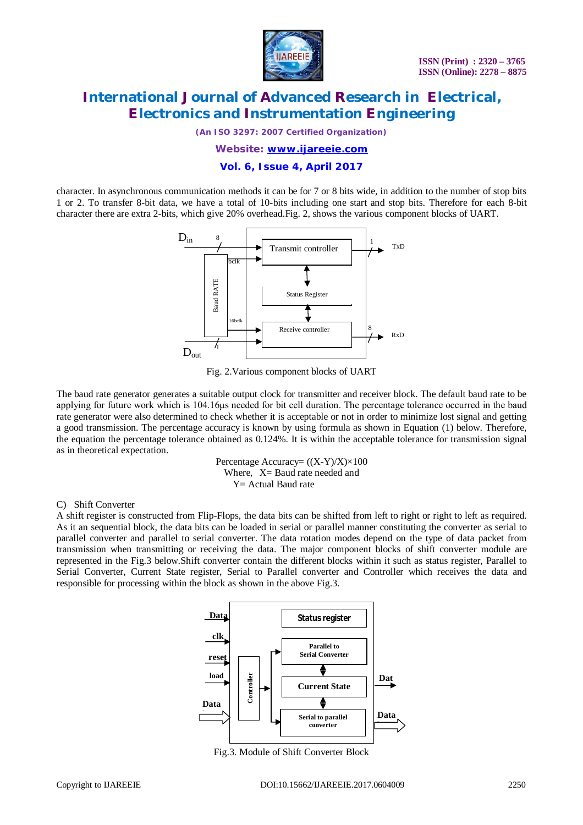

*(An ISO 3297: 2007 Certified Organization)*

*Website: [www.ijareeie.com](http://www.ijareeie.com)*

**Vol. 6, Issue 4, April 2017**

character. In asynchronous communication methods it can be for 7 or 8 bits wide, in addition to the number of stop bits 1 or 2. To transfer 8-bit data, we have a total of 10-bits including one start and stop bits. Therefore for each 8-bit character there are extra 2-bits, which give 20% overhead.Fig. 2, shows the various component blocks of UART.



Fig. 2.Various component blocks of UART

The baud rate generator generates a suitable output clock for transmitter and receiver block. The default baud rate to be applying for future work which is 104.16μs needed for bit cell duration. The percentage tolerance occurred in the baud rate generator were also determined to check whether it is acceptable or not in order to minimize lost signal and getting a good transmission. The percentage accuracy is known by using formula as shown in Equation (1) below. Therefore, the equation the percentage tolerance obtained as 0.124%. It is within the acceptable tolerance for transmission signal as in theoretical expectation.

> Percentage Accuracy=  $((X-Y)/X) \times 100$ Where,  $X =$  Baud rate needed and Y= Actual Baud rate

C) Shift Converter

A shift register is constructed from Flip-Flops, the data bits can be shifted from left to right or right to left as required. As it an sequential block, the data bits can be loaded in serial or parallel manner constituting the converter as serial to parallel converter and parallel to serial converter. The data rotation modes depend on the type of data packet from transmission when transmitting or receiving the data. The major component blocks of shift converter module are represented in the Fig.3 below.Shift converter contain the different blocks within it such as status register, Parallel to Serial Converter, Current State register, Serial to Parallel converter and Controller which receives the data and responsible for processing within the block as shown in the above Fig.3.



Fig.3. Module of Shift Converter Block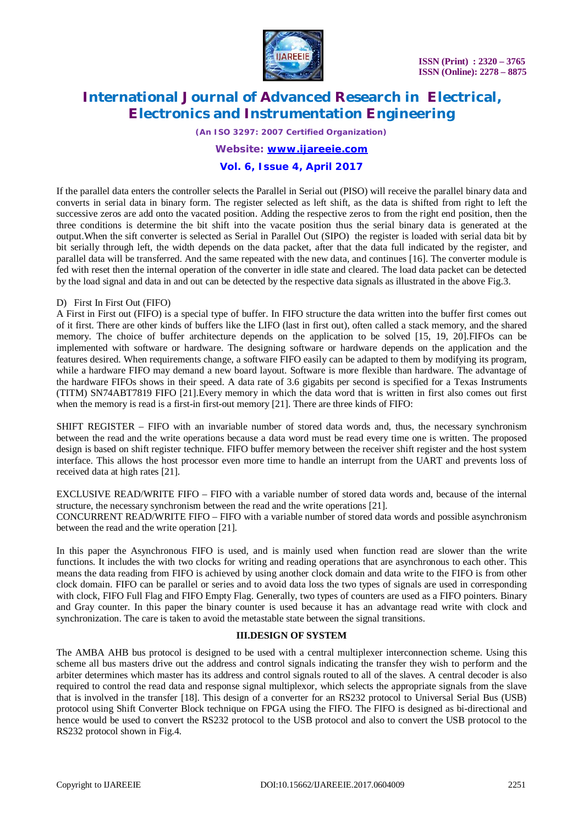

*(An ISO 3297: 2007 Certified Organization)*

*Website: [www.ijareeie.com](http://www.ijareeie.com)*

#### **Vol. 6, Issue 4, April 2017**

If the parallel data enters the controller selects the Parallel in Serial out (PISO) will receive the parallel binary data and converts in serial data in binary form. The register selected as left shift, as the data is shifted from right to left the successive zeros are add onto the vacated position. Adding the respective zeros to from the right end position, then the three conditions is determine the bit shift into the vacate position thus the serial binary data is generated at the output.When the sift converter is selected as Serial in Parallel Out (SIPO) the register is loaded with serial data bit by bit serially through left, the width depends on the data packet, after that the data full indicated by the register, and parallel data will be transferred. And the same repeated with the new data, and continues [16]. The converter module is fed with reset then the internal operation of the converter in idle state and cleared. The load data packet can be detected by the load signal and data in and out can be detected by the respective data signals as illustrated in the above Fig.3.

#### D) First In First Out (FIFO)

A First in First out (FIFO) is a special type of buffer. In FIFO structure the data written into the buffer first comes out of it first. There are other kinds of buffers like the LIFO (last in first out), often called a stack memory, and the shared memory. The choice of buffer architecture depends on the application to be solved [15, 19, 20].FIFOs can be implemented with software or hardware. The designing software or hardware depends on the application and the features desired. When requirements change, a software FIFO easily can be adapted to them by modifying its program, while a hardware FIFO may demand a new board layout. Software is more flexible than hardware. The advantage of the hardware FIFOs shows in their speed. A data rate of 3.6 gigabits per second is specified for a Texas Instruments (TITM) SN74ABT7819 FIFO [21].Every memory in which the data word that is written in first also comes out first when the memory is read is a first-in first-out memory [21]. There are three kinds of FIFO:

SHIFT REGISTER – FIFO with an invariable number of stored data words and, thus, the necessary synchronism between the read and the write operations because a data word must be read every time one is written. The proposed design is based on shift register technique. FIFO buffer memory between the receiver shift register and the host system interface. This allows the host processor even more time to handle an interrupt from the UART and prevents loss of received data at high rates [21].

EXCLUSIVE READ/WRITE FIFO – FIFO with a variable number of stored data words and, because of the internal structure, the necessary synchronism between the read and the write operations [21]. CONCURRENT READ/WRITE FIFO – FIFO with a variable number of stored data words and possible asynchronism between the read and the write operation [21].

In this paper the Asynchronous FIFO is used, and is mainly used when function read are slower than the write functions. It includes the with two clocks for writing and reading operations that are asynchronous to each other. This means the data reading from FIFO is achieved by using another clock domain and data write to the FIFO is from other clock domain. FIFO can be parallel or series and to avoid data loss the two types of signals are used in corresponding with clock, FIFO Full Flag and FIFO Empty Flag. Generally, two types of counters are used as a FIFO pointers. Binary and Gray counter. In this paper the binary counter is used because it has an advantage read write with clock and synchronization. The care is taken to avoid the metastable state between the signal transitions.

#### **III.DESIGN OF SYSTEM**

The AMBA AHB bus protocol is designed to be used with a central multiplexer interconnection scheme. Using this scheme all bus masters drive out the address and control signals indicating the transfer they wish to perform and the arbiter determines which master has its address and control signals routed to all of the slaves. A central decoder is also required to control the read data and response signal multiplexor, which selects the appropriate signals from the slave that is involved in the transfer [18]. This design of a converter for an RS232 protocol to Universal Serial Bus (USB) protocol using Shift Converter Block technique on FPGA using the FIFO. The FIFO is designed as bi-directional and hence would be used to convert the RS232 protocol to the USB protocol and also to convert the USB protocol to the RS232 protocol shown in Fig.4.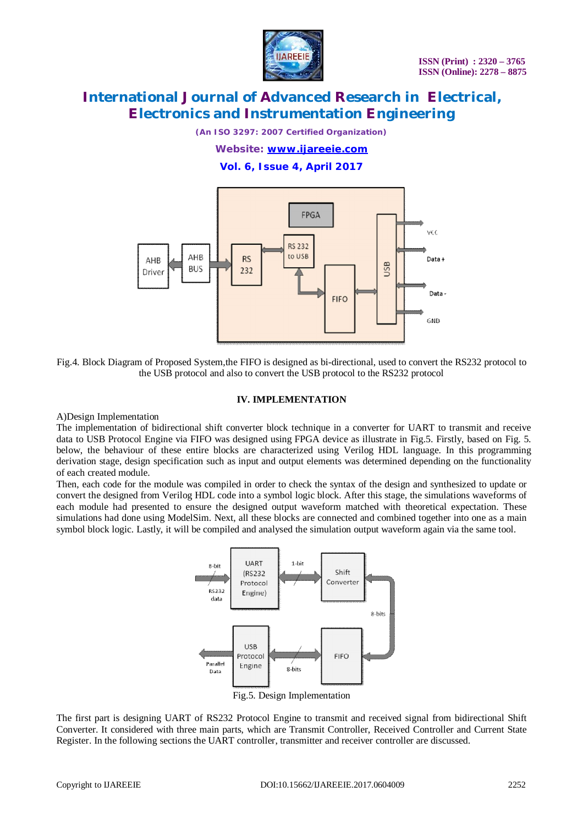

*(An ISO 3297: 2007 Certified Organization)*

*Website: [www.ijareeie.com](http://www.ijareeie.com)*

**Vol. 6, Issue 4, April 2017**



Fig.4. Block Diagram of Proposed System,the FIFO is designed as bi-directional, used to convert the RS232 protocol to the USB protocol and also to convert the USB protocol to the RS232 protocol

#### **IV. IMPLEMENTATION**

A)Design Implementation

The implementation of bidirectional shift converter block technique in a converter for UART to transmit and receive data to USB Protocol Engine via FIFO was designed using FPGA device as illustrate in Fig.5. Firstly, based on Fig. 5. below, the behaviour of these entire blocks are characterized using Verilog HDL language. In this programming derivation stage, design specification such as input and output elements was determined depending on the functionality of each created module.

Then, each code for the module was compiled in order to check the syntax of the design and synthesized to update or convert the designed from Verilog HDL code into a symbol logic block. After this stage, the simulations waveforms of each module had presented to ensure the designed output waveform matched with theoretical expectation. These simulations had done using ModelSim. Next, all these blocks are connected and combined together into one as a main symbol block logic. Lastly, it will be compiled and analysed the simulation output waveform again via the same tool.



The first part is designing UART of RS232 Protocol Engine to transmit and received signal from bidirectional Shift Converter. It considered with three main parts, which are Transmit Controller, Received Controller and Current State Register. In the following sections the UART controller, transmitter and receiver controller are discussed.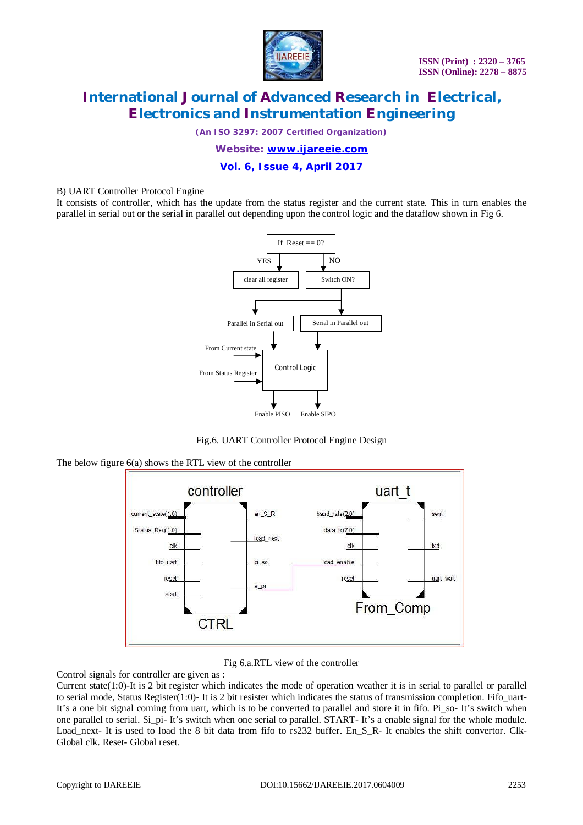

*(An ISO 3297: 2007 Certified Organization)*

*Website: [www.ijareeie.com](http://www.ijareeie.com)*

**Vol. 6, Issue 4, April 2017**

#### B) UART Controller Protocol Engine

It consists of controller, which has the update from the status register and the current state. This in turn enables the parallel in serial out or the serial in parallel out depending upon the control logic and the dataflow shown in Fig 6.



Fig.6. UART Controller Protocol Engine Design

The below figure 6(a) shows the RTL view of the controller



Fig 6.a.RTL view of the controller

Control signals for controller are given as :

Current state $(1:0)$ -It is 2 bit register which indicates the mode of operation weather it is in serial to parallel or parallel to serial mode, Status Register(1:0)- It is 2 bit resister which indicates the status of transmission completion. Fifo uart-It's a one bit signal coming from uart, which is to be converted to parallel and store it in fifo. Pi\_so- It's switch when one parallel to serial. Si\_pi- It's switch when one serial to parallel. START- It's a enable signal for the whole module. Load\_next- It is used to load the 8 bit data from fifo to rs232 buffer. En\_S\_R- It enables the shift convertor. Clk-Global clk. Reset- Global reset.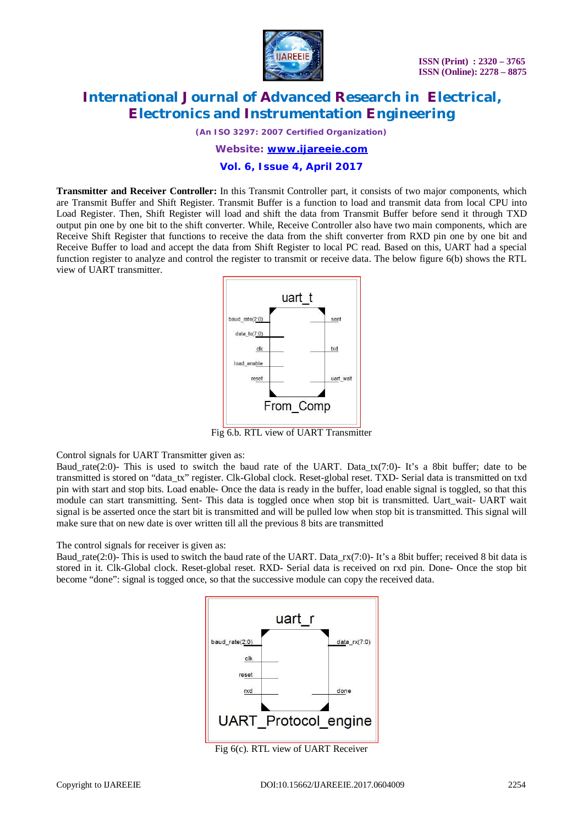

*(An ISO 3297: 2007 Certified Organization)*

*Website: [www.ijareeie.com](http://www.ijareeie.com)*

**Vol. 6, Issue 4, April 2017**

**Transmitter and Receiver Controller:** In this Transmit Controller part, it consists of two major components, which are Transmit Buffer and Shift Register. Transmit Buffer is a function to load and transmit data from local CPU into Load Register. Then, Shift Register will load and shift the data from Transmit Buffer before send it through TXD output pin one by one bit to the shift converter. While, Receive Controller also have two main components, which are Receive Shift Register that functions to receive the data from the shift converter from RXD pin one by one bit and Receive Buffer to load and accept the data from Shift Register to local PC read. Based on this, UART had a special function register to analyze and control the register to transmit or receive data. The below figure 6(b) shows the RTL view of UART transmitter.



Fig 6.b. RTL view of UART Transmitter

Control signals for UART Transmitter given as:

Baud rate(2:0)- This is used to switch the baud rate of the UART. Data tx(7:0)- It's a 8bit buffer; date to be transmitted is stored on "data\_tx" register. Clk-Global clock. Reset-global reset. TXD- Serial data is transmitted on txd pin with start and stop bits. Load enable- Once the data is ready in the buffer, load enable signal is toggled, so that this module can start transmitting. Sent- This data is toggled once when stop bit is transmitted. Uart wait- UART wait signal is be asserted once the start bit is transmitted and will be pulled low when stop bit is transmitted. This signal will make sure that on new date is over written till all the previous 8 bits are transmitted

The control signals for receiver is given as:

Baud rate(2:0)- This is used to switch the baud rate of the UART. Data  $rx(7:0)$ - It's a 8bit buffer; received 8 bit data is stored in it. Clk-Global clock. Reset-global reset. RXD- Serial data is received on rxd pin. Done- Once the stop bit become "done": signal is togged once, so that the successive module can copy the received data.



Fig 6(c). RTL view of UART Receiver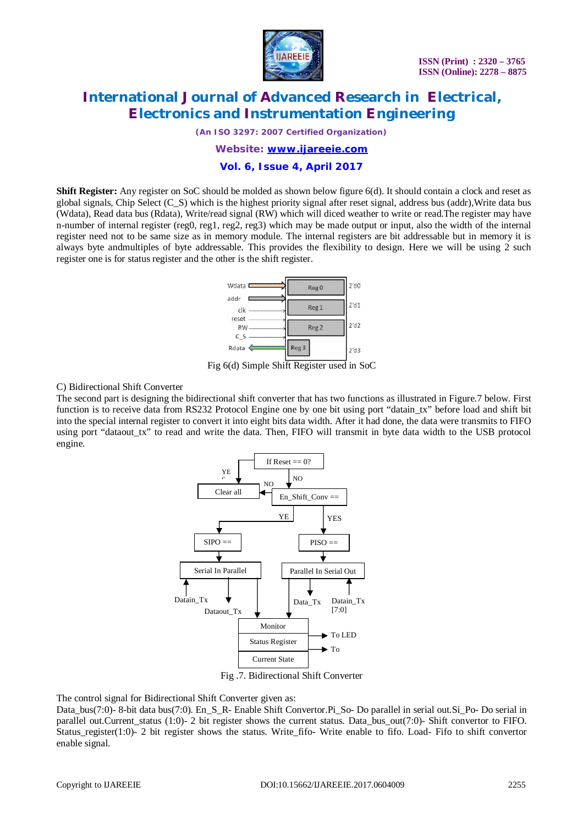

*(An ISO 3297: 2007 Certified Organization)*

*Website: [www.ijareeie.com](http://www.ijareeie.com)*

#### **Vol. 6, Issue 4, April 2017**

**Shift Register:** Any register on SoC should be molded as shown below figure 6(d). It should contain a clock and reset as global signals, Chip Select (C\_S) which is the highest priority signal after reset signal, address bus (addr),Write data bus (Wdata), Read data bus (Rdata), Write/read signal (RW) which will diced weather to write or read.The register may have n-number of internal register (reg0, reg1, reg2, reg3) which may be made output or input, also the width of the internal register need not to be same size as in memory module. The internal registers are bit addressable but in memory it is always byte andmultiples of byte addressable. This provides the flexibility to design. Here we will be using 2 such register one is for status register and the other is the shift register.



Fig 6(d) Simple Shift Register used in SoC

C) Bidirectional Shift Converter

The second part is designing the bidirectional shift converter that has two functions as illustrated in Figure.7 below. First function is to receive data from RS232 Protocol Engine one by one bit using port "datain\_tx" before load and shift bit into the special internal register to convert it into eight bits data width. After it had done, the data were transmits to FIFO using port "dataout\_tx" to read and write the data. Then, FIFO will transmit in byte data width to the USB protocol engine.



Fig .7. Bidirectional Shift Converter

The control signal for Bidirectional Shift Converter given as:

Data\_bus(7:0)- 8-bit data bus(7:0). En\_S\_R- Enable Shift Convertor.Pi\_So- Do parallel in serial out.Si\_Po- Do serial in parallel out.Current\_status (1:0)- 2 bit register shows the current status. Data\_bus\_out(7:0)- Shift convertor to FIFO. Status\_register(1:0)- 2 bit register shows the status. Write\_fifo- Write enable to fifo. Load- Fifo to shift convertor enable signal.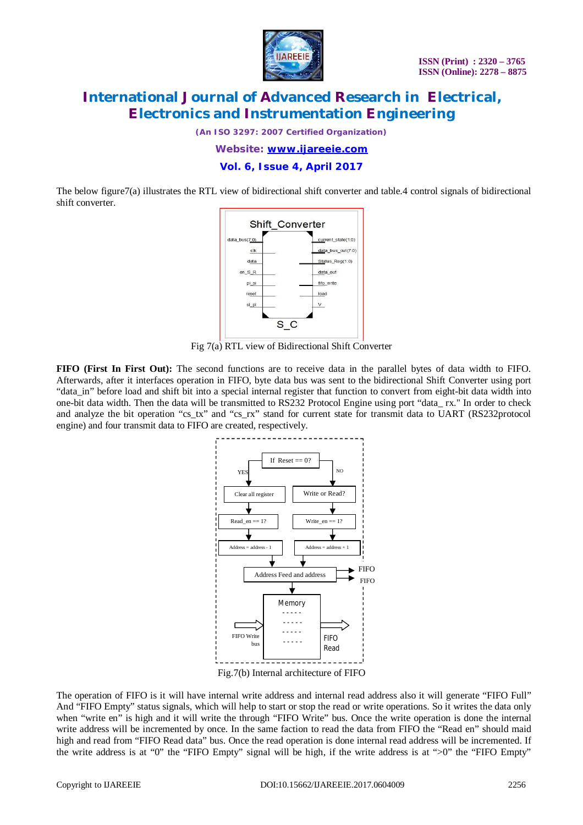

*(An ISO 3297: 2007 Certified Organization)*

*Website: [www.ijareeie.com](http://www.ijareeie.com)*

**Vol. 6, Issue 4, April 2017**

The below figure7(a) illustrates the RTL view of bidirectional shift converter and table.4 control signals of bidirectional shift converter.



Fig 7(a) RTL view of Bidirectional Shift Converter

**FIFO (First In First Out):** The second functions are to receive data in the parallel bytes of data width to FIFO. Afterwards, after it interfaces operation in FIFO, byte data bus was sent to the bidirectional Shift Converter using port "data\_in" before load and shift bit into a special internal register that function to convert from eight-bit data width into one-bit data width. Then the data will be transmitted to RS232 Protocol Engine using port "data\_ rx." In order to check and analyze the bit operation "cs\_tx" and "cs\_rx" stand for current state for transmit data to UART (RS232protocol engine) and four transmit data to FIFO are created, respectively.



The operation of FIFO is it will have internal write address and internal read address also it will generate "FIFO Full" And "FIFO Empty" status signals, which will help to start or stop the read or write operations. So it writes the data only when "write en" is high and it will write the through "FIFO Write" bus. Once the write operation is done the internal write address will be incremented by once. In the same faction to read the data from FIFO the "Read en" should maid high and read from "FIFO Read data" bus. Once the read operation is done internal read address will be incremented. If the write address is at "0" the "FIFO Empty" signal will be high, if the write address is at ">0" the "FIFO Empty"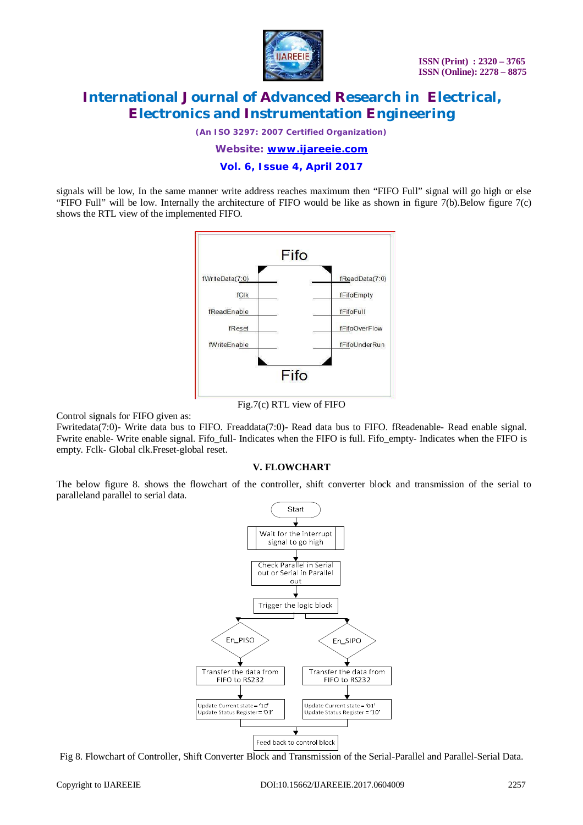

*(An ISO 3297: 2007 Certified Organization)*

*Website: [www.ijareeie.com](http://www.ijareeie.com)*

**Vol. 6, Issue 4, April 2017**

signals will be low, In the same manner write address reaches maximum then "FIFO Full" signal will go high or else "FIFO Full" will be low. Internally the architecture of FIFO would be like as shown in figure 7(b).Below figure 7(c) shows the RTL view of the implemented FIFO.



Fig.7(c) RTL view of FIFO

Control signals for FIFO given as:

Fwritedata(7:0)- Write data bus to FIFO. Freaddata(7:0)- Read data bus to FIFO. fReadenable- Read enable signal. Fwrite enable- Write enable signal. Fifo\_full- Indicates when the FIFO is full. Fifo\_empty- Indicates when the FIFO is empty. Fclk- Global clk.Freset-global reset.

#### **V. FLOWCHART**

The below figure 8. shows the flowchart of the controller, shift converter block and transmission of the serial to paralleland parallel to serial data.



Fig 8. Flowchart of Controller, Shift Converter Block and Transmission of the Serial-Parallel and Parallel-Serial Data.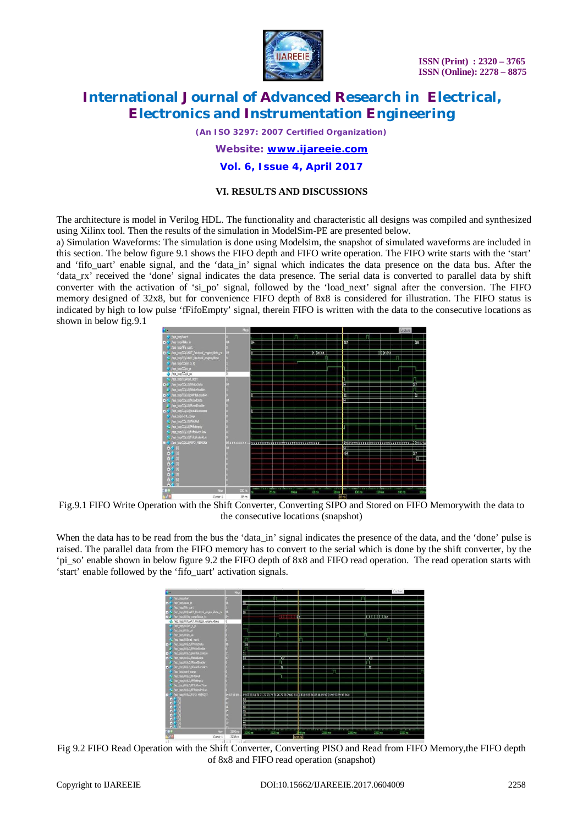

*(An ISO 3297: 2007 Certified Organization)*

*Website: [www.ijareeie.com](http://www.ijareeie.com)*

**Vol. 6, Issue 4, April 2017**

#### **VI. RESULTS AND DISCUSSIONS**

The architecture is model in Verilog HDL. The functionality and characteristic all designs was compiled and synthesized using Xilinx tool. Then the results of the simulation in ModelSim-PE are presented below.

a) Simulation Waveforms: The simulation is done using Modelsim, the snapshot of simulated waveforms are included in this section. The below figure 9.1 shows the FIFO depth and FIFO write operation. The FIFO write starts with the 'start' and 'fifo\_uart' enable signal, and the 'data\_in' signal which indicates the data presence on the data bus. After the 'data\_rx' received the 'done' signal indicates the data presence. The serial data is converted to parallel data by shift converter with the activation of 'si po' signal, followed by the 'load next' signal after the conversion. The FIFO memory designed of 32x8, but for convenience FIFO depth of 8x8 is considered for illustration. The FIFO status is indicated by high to low pulse 'fFifoEmpty' signal, therein FIFO is written with the data to the consecutive locations as shown in below fig.9.1



Fig.9.1 FIFO Write Operation with the Shift Converter, Converting SIPO and Stored on FIFO Memorywith the data to the consecutive locations (snapshot)

When the data has to be read from the bus the 'data\_in' signal indicates the presence of the data, and the 'done' pulse is raised. The parallel data from the FIFO memory has to convert to the serial which is done by the shift converter, by the 'pi\_so' enable shown in below figure 9.2 the FIFO depth of 8x8 and FIFO read operation. The read operation starts with 'start' enable followed by the 'fifo\_uart' activation signals.



Fig 9.2 FIFO Read Operation with the Shift Converter, Converting PISO and Read from FIFO Memory, the FIFO depth of 8x8 and FIFO read operation (snapshot)